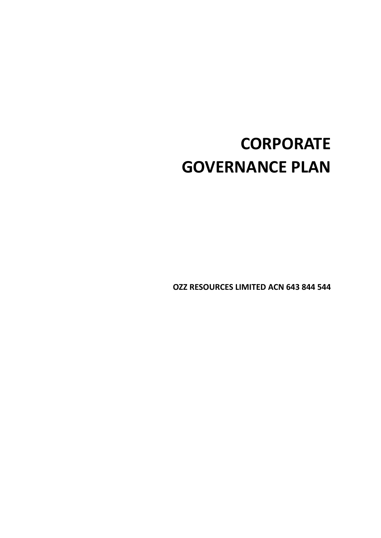# **CORPORATE GOVERNANCE PLAN**

**OZZ RESOURCES LIMITED ACN 643 844 544**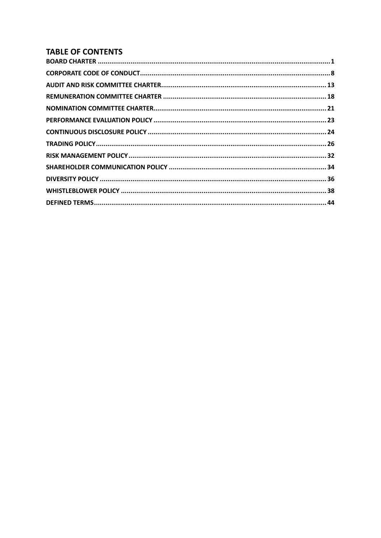# **TABLE OF CONTENTS**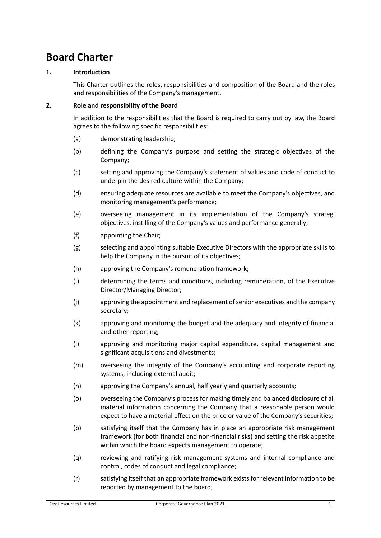# <span id="page-2-0"></span>**Board Charter**

#### **1. Introduction**

This Charter outlines the roles, responsibilities and composition of the Board and the roles and responsibilities of the Company's management.

#### **2. Role and responsibility of the Board**

In addition to the responsibilities that the Board is required to carry out by law, the Board agrees to the following specific responsibilities:

- (a) demonstrating leadership;
- (b) defining the Company's purpose and setting the strategic objectives of the Company;
- (c) setting and approving the Company's statement of values and code of conduct to underpin the desired culture within the Company;
- (d) ensuring adequate resources are available to meet the Company's objectives, and monitoring management's performance;
- (e) overseeing management in its implementation of the Company's strategi objectives, instilling of the Company's values and performance generally;
- (f) appointing the Chair;
- (g) selecting and appointing suitable Executive Directors with the appropriate skills to help the Company in the pursuit of its objectives;
- (h) approving the Company's remuneration framework;
- (i) determining the terms and conditions, including remuneration, of the Executive Director/Managing Director;
- (j) approving the appointment and replacement ofsenior executives and the company secretary;
- (k) approving and monitoring the budget and the adequacy and integrity of financial and other reporting;
- (l) approving and monitoring major capital expenditure, capital management and significant acquisitions and divestments;
- (m) overseeing the integrity of the Company's accounting and corporate reporting systems, including external audit;
- (n) approving the Company's annual, half yearly and quarterly accounts;
- (o) overseeing the Company's process for making timely and balanced disclosure of all material information concerning the Company that a reasonable person would expect to have a material effect on the price or value of the Company's securities;
- (p) satisfying itself that the Company has in place an appropriate risk management framework (for both financial and non-financial risks) and setting the risk appetite within which the board expects management to operate;
- (q) reviewing and ratifying risk management systems and internal compliance and control, codes of conduct and legal compliance;
- (r) satisfying itself that an appropriate framework exists for relevant information to be reported by management to the board;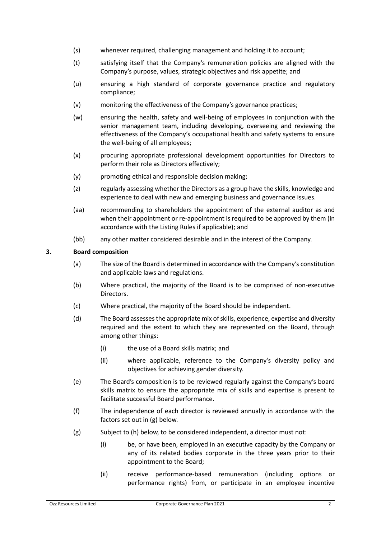- (s) whenever required, challenging management and holding it to account;
- (t) satisfying itself that the Company's remuneration policies are aligned with the Company's purpose, values, strategic objectives and risk appetite; and
- (u) ensuring a high standard of corporate governance practice and regulatory compliance;
- (v) monitoring the effectiveness of the Company's governance practices;
- (w) ensuring the health, safety and well-being of employees in conjunction with the senior management team, including developing, overseeing and reviewing the effectiveness of the Company's occupational health and safety systems to ensure the well-being of all employees;
- (x) procuring appropriate professional development opportunities for Directors to perform their role as Directors effectively;
- (y) promoting ethical and responsible decision making;
- (z) regularly assessing whether the Directors as a group have the skills, knowledge and experience to deal with new and emerging business and governance issues.
- (aa) recommending to shareholders the appointment of the external auditor as and when their appointment or re-appointment is required to be approved by them (in accordance with the Listing Rules if applicable); and
- (bb) any other matter considered desirable and in the interest of the Company.

### **3. Board composition**

- (a) The size of the Board is determined in accordance with the Company's constitution and applicable laws and regulations.
- (b) Where practical, the majority of the Board is to be comprised of non-executive Directors.
- (c) Where practical, the majority of the Board should be independent.
- (d) The Board assesses the appropriate mix of skills, experience, expertise and diversity required and the extent to which they are represented on the Board, through among other things:
	- (i) the use of a Board skills matrix; and
	- (ii) where applicable, reference to the Company's diversity policy and objectives for achieving gender diversity.
- (e) The Board's composition is to be reviewed regularly against the Company's board skills matrix to ensure the appropriate mix of skills and expertise is present to facilitate successful Board performance.
- (f) The independence of each director is reviewed annually in accordance with the factors set out in (g) below.
- (g) Subject to (h) below, to be considered independent, a director must not:
	- (i) be, or have been, employed in an executive capacity by the Company or any of its related bodies corporate in the three years prior to their appointment to the Board;
	- (ii) receive performance-based remuneration (including options or performance rights) from, or participate in an employee incentive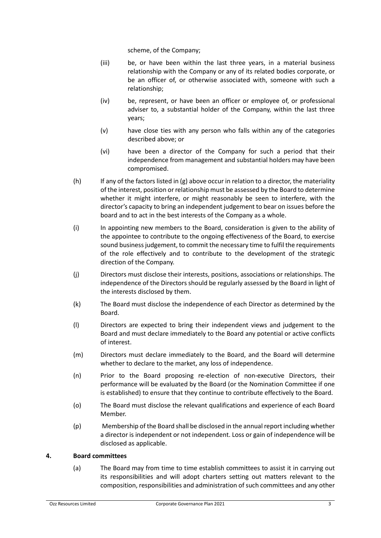scheme, of the Company;

- (iii) be, or have been within the last three years, in a material business relationship with the Company or any of its related bodies corporate, or be an officer of, or otherwise associated with, someone with such a relationship;
- (iv) be, represent, or have been an officer or employee of, or professional adviser to, a substantial holder of the Company, within the last three years;
- (v) have close ties with any person who falls within any of the categories described above; or
- (vi) have been a director of the Company for such a period that their independence from management and substantial holders may have been compromised.
- $(h)$  If any of the factors listed in (g) above occur in relation to a director, the materiality of the interest, position or relationship must be assessed by the Board to determine whether it might interfere, or might reasonably be seen to interfere, with the director's capacity to bring an independent judgement to bear on issues before the board and to act in the best interests of the Company as a whole.
- (i) In appointing new members to the Board, consideration is given to the ability of the appointee to contribute to the ongoing effectiveness of the Board, to exercise sound business judgement, to commit the necessary time to fulfil the requirements of the role effectively and to contribute to the development of the strategic direction of the Company.
- (j) Directors must disclose their interests, positions, associations or relationships. The independence of the Directors should be regularly assessed by the Board in light of the interests disclosed by them.
- (k) The Board must disclose the independence of each Director as determined by the Board.
- (l) Directors are expected to bring their independent views and judgement to the Board and must declare immediately to the Board any potential or active conflicts of interest.
- (m) Directors must declare immediately to the Board, and the Board will determine whether to declare to the market, any loss of independence.
- (n) Prior to the Board proposing re-election of non-executive Directors, their performance will be evaluated by the Board (or the Nomination Committee if one is established) to ensure that they continue to contribute effectively to the Board.
- (o) The Board must disclose the relevant qualifications and experience of each Board Member.
- (p) Membership of the Board shall be disclosed in the annual report including whether a director is independent or not independent. Loss or gain of independence will be disclosed as applicable.

#### **4. Board committees**

(a) The Board may from time to time establish committees to assist it in carrying out its responsibilities and will adopt charters setting out matters relevant to the composition, responsibilities and administration of such committees and any other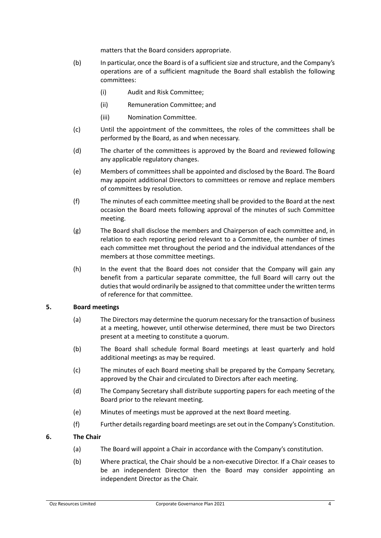matters that the Board considers appropriate.

- (b) In particular, once the Board is of a sufficient size and structure, and the Company's operations are of a sufficient magnitude the Board shall establish the following committees:
	- (i) Audit and Risk Committee;
	- (ii) Remuneration Committee; and
	- (iii) Nomination Committee.
- (c) Until the appointment of the committees, the roles of the committees shall be performed by the Board, as and when necessary.
- (d) The charter of the committees is approved by the Board and reviewed following any applicable regulatory changes.
- (e) Members of committees shall be appointed and disclosed by the Board. The Board may appoint additional Directors to committees or remove and replace members of committees by resolution.
- (f) The minutes of each committee meeting shall be provided to the Board at the next occasion the Board meets following approval of the minutes of such Committee meeting.
- (g) The Board shall disclose the members and Chairperson of each committee and, in relation to each reporting period relevant to a Committee, the number of times each committee met throughout the period and the individual attendances of the members at those committee meetings.
- (h) In the event that the Board does not consider that the Company will gain any benefit from a particular separate committee, the full Board will carry out the duties that would ordinarily be assigned to that committee under the written terms of reference for that committee.

#### **5. Board meetings**

- (a) The Directors may determine the quorum necessary for the transaction of business at a meeting, however, until otherwise determined, there must be two Directors present at a meeting to constitute a quorum.
- (b) The Board shall schedule formal Board meetings at least quarterly and hold additional meetings as may be required.
- (c) The minutes of each Board meeting shall be prepared by the Company Secretary, approved by the Chair and circulated to Directors after each meeting.
- (d) The Company Secretary shall distribute supporting papers for each meeting of the Board prior to the relevant meeting.
- (e) Minutes of meetings must be approved at the next Board meeting.
- (f) Further details regarding board meetings are set out in the Company's Constitution.

#### **6. The Chair**

- (a) The Board will appoint a Chair in accordance with the Company's constitution.
- (b) Where practical, the Chair should be a non-executive Director. If a Chair ceases to be an independent Director then the Board may consider appointing an independent Director as the Chair.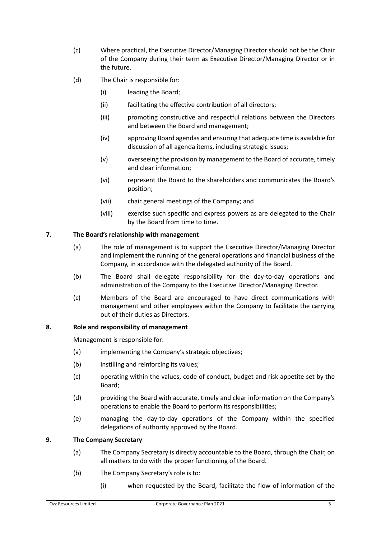- (c) Where practical, the Executive Director/Managing Director should not be the Chair of the Company during their term as Executive Director/Managing Director or in the future.
- (d) The Chair is responsible for:
	- (i) leading the Board;
	- (ii) facilitating the effective contribution of all directors;
	- (iii) promoting constructive and respectful relations between the Directors and between the Board and management;
	- (iv) approving Board agendas and ensuring that adequate time is available for discussion of all agenda items, including strategic issues;
	- (v) overseeing the provision by management to the Board of accurate, timely and clear information;
	- (vi) represent the Board to the shareholders and communicates the Board's position;
	- (vii) chair general meetings of the Company; and
	- (viii) exercise such specific and express powers as are delegated to the Chair by the Board from time to time.

### **7. The Board's relationship with management**

- (a) The role of management is to support the Executive Director/Managing Director and implement the running of the general operations and financial business of the Company, in accordance with the delegated authority of the Board.
- (b) The Board shall delegate responsibility for the day-to-day operations and administration of the Company to the Executive Director/Managing Director.
- (c) Members of the Board are encouraged to have direct communications with management and other employees within the Company to facilitate the carrying out of their duties as Directors.

#### **8. Role and responsibility of management**

Management is responsible for:

- (a) implementing the Company's strategic objectives;
- (b) instilling and reinforcing its values:
- (c) operating within the values, code of conduct, budget and risk appetite set by the Board;
- (d) providing the Board with accurate, timely and clear information on the Company's operations to enable the Board to perform its responsibilities;
- (e) managing the day-to-day operations of the Company within the specified delegations of authority approved by the Board.

#### **9. The Company Secretary**

- (a) The Company Secretary is directly accountable to the Board, through the Chair, on all matters to do with the proper functioning of the Board.
- (b) The Company Secretary's role is to:
	- (i) when requested by the Board, facilitate the flow of information of the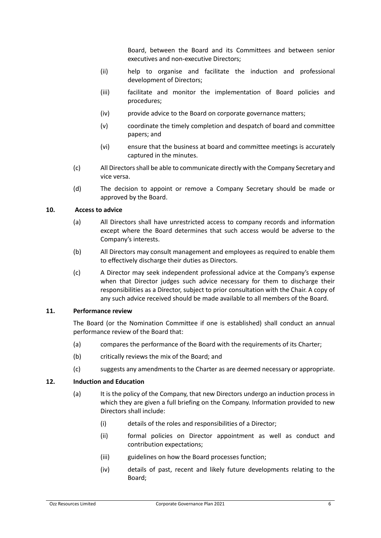Board, between the Board and its Committees and between senior executives and non-executive Directors;

- (ii) help to organise and facilitate the induction and professional development of Directors;
- (iii) facilitate and monitor the implementation of Board policies and procedures;
- (iv) provide advice to the Board on corporate governance matters;
- (v) coordinate the timely completion and despatch of board and committee papers; and
- (vi) ensure that the business at board and committee meetings is accurately captured in the minutes.
- (c) All Directors shall be able to communicate directly with the Company Secretary and vice versa.
- (d) The decision to appoint or remove a Company Secretary should be made or approved by the Board.

#### **10. Access to advice**

- (a) All Directors shall have unrestricted access to company records and information except where the Board determines that such access would be adverse to the Company's interests.
- (b) All Directors may consult management and employees as required to enable them to effectively discharge their duties as Directors.
- (c) A Director may seek independent professional advice at the Company's expense when that Director judges such advice necessary for them to discharge their responsibilities as a Director, subject to prior consultation with the Chair. A copy of any such advice received should be made available to all members of the Board.

#### **11. Performance review**

The Board (or the Nomination Committee if one is established) shall conduct an annual performance review of the Board that:

- (a) compares the performance of the Board with the requirements of its Charter;
- (b) critically reviews the mix of the Board; and
- (c) suggests any amendments to the Charter as are deemed necessary or appropriate.

#### **12. Induction and Education**

- (a) It is the policy of the Company, that new Directors undergo an induction process in which they are given a full briefing on the Company. Information provided to new Directors shall include:
	- (i) details of the roles and responsibilities of a Director;
	- (ii) formal policies on Director appointment as well as conduct and contribution expectations;
	- (iii) guidelines on how the Board processes function;
	- (iv) details of past, recent and likely future developments relating to the Board;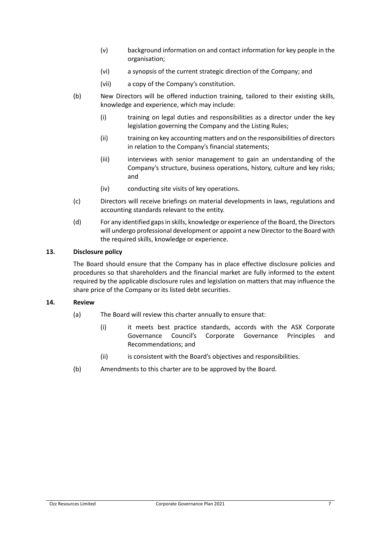- (v) background information on and contact information for key people in the organisation;
- (vi) a synopsis of the current strategic direction of the Company; and
- (vii) a copy of the Company's constitution.
- (b) New Directors will be offered induction training, tailored to their existing skills, knowledge and experience, which may include:
	- (i) training on legal duties and responsibilities as a director under the key legislation governing the Company and the Listing Rules;
	- (ii) training on key accounting matters and on the responsibilities of directors in relation to the Company's financial statements;
	- (iii) interviews with senior management to gain an understanding of the Company's structure, business operations, history, culture and key risks; and
	- (iv) conducting site visits of key operations.
- (c) Directors will receive briefings on material developments in laws, regulations and accounting standards relevant to the entity.
- (d) For any identified gaps in skills, knowledge or experience of the Board, the Directors will undergo professional development or appoint a new Director to the Board with the required skills, knowledge or experience.

#### **13. Disclosure policy**

The Board should ensure that the Company has in place effective disclosure policies and procedures so that shareholders and the financial market are fully informed to the extent required by the applicable disclosure rules and legislation on matters that may influence the share price of the Company or its listed debt securities.

#### **14. Review**

- (a) The Board will review this charter annually to ensure that:
	- (i) it meets best practice standards, accords with the ASX Corporate Governance Council's Corporate Governance Principles and Recommendations; and
	- (ii) is consistent with the Board's objectives and responsibilities.
- (b) Amendments to this charter are to be approved by the Board.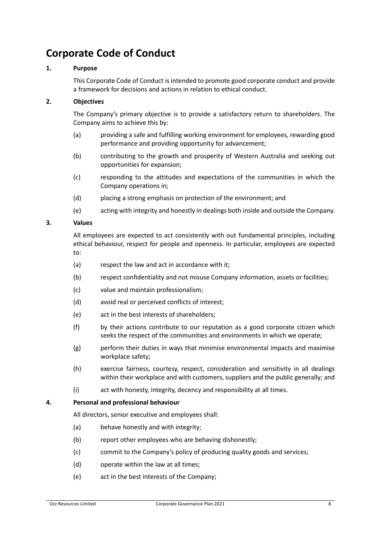# <span id="page-9-0"></span>**Corporate Code of Conduct**

### **1. Purpose**

This Corporate Code of Conduct is intended to promote good corporate conduct and provide a framework for decisions and actions in relation to ethical conduct.

### **2. Objectives**

The Company's primary objective is to provide a satisfactory return to shareholders. The Company aims to achieve this by:

- (a) providing a safe and fulfilling working environment for employees, rewarding good performance and providing opportunity for advancement;
- (b) contributing to the growth and prosperity of Western Australia and seeking out opportunities for expansion;
- (c) responding to the attitudes and expectations of the communities in which the Company operations in;
- (d) placing a strong emphasis on protection of the environment; and
- (e) acting with integrity and honestly in dealings both inside and outside the Company.

### **3. Values**

All employees are expected to act consistently with out fundamental principles, including ethical behaviour, respect for people and openness. In particular, employees are expected to:

- (a) respect the law and act in accordance with it;
- (b) respect confidentiality and not misuse Company information, assets or facilities;
- (c) value and maintain professionalism;
- (d) avoid real or perceived conflicts of interest;
- (e) act in the best interests of shareholders;
- (f) by their actions contribute to our reputation as a good corporate citizen which seeks the respect of the communities and environments in which we operate;
- (g) perform their duties in ways that minimise environmental impacts and maximise workplace safety;
- (h) exercise fairness, courtesy, respect, consideration and sensitivity in all dealings within their workplace and with customers, suppliers and the public generally; and
- (i) act with honesty, integrity, decency and responsibility at all times.

#### **4. Personal and professional behaviour**

All directors, senior executive and employees shall:

- (a) behave honestly and with integrity;
- (b) report other employees who are behaving dishonestly;
- (c) commit to the Company's policy of producing quality goods and services;
- (d) operate within the law at all times;
- (e) act in the best interests of the Company;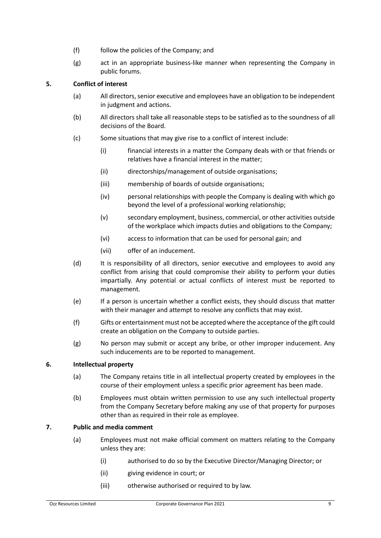- (f) follow the policies of the Company; and
- (g) act in an appropriate business-like manner when representing the Company in public forums.

# **5. Conflict of interest**

- (a) All directors, senior executive and employees have an obligation to be independent in judgment and actions.
- (b) All directors shall take all reasonable steps to be satisfied as to the soundness of all decisions of the Board.
- (c) Some situations that may give rise to a conflict of interest include:
	- (i) financial interests in a matter the Company deals with or that friends or relatives have a financial interest in the matter;
	- (ii) directorships/management of outside organisations;
	- (iii) membership of boards of outside organisations;
	- (iv) personal relationships with people the Company is dealing with which go beyond the level of a professional working relationship;
	- (v) secondary employment, business, commercial, or other activities outside of the workplace which impacts duties and obligations to the Company;
	- (vi) access to information that can be used for personal gain; and
	- (vii) offer of an inducement.
- (d) It is responsibility of all directors, senior executive and employees to avoid any conflict from arising that could compromise their ability to perform your duties impartially. Any potential or actual conflicts of interest must be reported to management.
- (e) If a person is uncertain whether a conflict exists, they should discuss that matter with their manager and attempt to resolve any conflicts that may exist.
- (f) Gifts or entertainment must not be accepted where the acceptance of the gift could create an obligation on the Company to outside parties.
- (g) No person may submit or accept any bribe, or other improper inducement. Any such inducements are to be reported to management.

#### **6. Intellectual property**

- (a) The Company retains title in all intellectual property created by employees in the course of their employment unless a specific prior agreement has been made.
- (b) Employees must obtain written permission to use any such intellectual property from the Company Secretary before making any use of that property for purposes other than as required in their role as employee.

#### **7. Public and media comment**

- (a) Employees must not make official comment on matters relating to the Company unless they are:
	- (i) authorised to do so by the Executive Director/Managing Director; or
	- (ii) giving evidence in court; or
	- (iii) otherwise authorised or required to by law.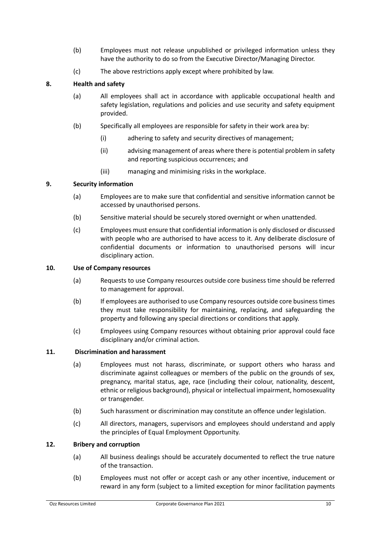- (b) Employees must not release unpublished or privileged information unless they have the authority to do so from the Executive Director/Managing Director.
- (c) The above restrictions apply except where prohibited by law.

### **8. Health and safety**

- (a) All employees shall act in accordance with applicable occupational health and safety legislation, regulations and policies and use security and safety equipment provided.
- (b) Specifically all employees are responsible for safety in their work area by:
	- (i) adhering to safety and security directives of management;
	- (ii) advising management of areas where there is potential problem in safety and reporting suspicious occurrences; and
	- (iii) managing and minimising risks in the workplace.

#### **9. Security information**

- (a) Employees are to make sure that confidential and sensitive information cannot be accessed by unauthorised persons.
- (b) Sensitive material should be securely stored overnight or when unattended.
- (c) Employees must ensure that confidential information is only disclosed or discussed with people who are authorised to have access to it. Any deliberate disclosure of confidential documents or information to unauthorised persons will incur disciplinary action.

#### **10. Use of Company resources**

- (a) Requests to use Company resources outside core business time should be referred to management for approval.
- (b) If employees are authorised to use Company resources outside core business times they must take responsibility for maintaining, replacing, and safeguarding the property and following any special directions or conditions that apply.
- (c) Employees using Company resources without obtaining prior approval could face disciplinary and/or criminal action.

#### **11. Discrimination and harassment**

- (a) Employees must not harass, discriminate, or support others who harass and discriminate against colleagues or members of the public on the grounds of sex, pregnancy, marital status, age, race (including their colour, nationality, descent, ethnic or religious background), physical or intellectual impairment, homosexuality or transgender.
- (b) Such harassment or discrimination may constitute an offence under legislation.
- (c) All directors, managers, supervisors and employees should understand and apply the principles of Equal Employment Opportunity.

#### **12. Bribery and corruption**

- (a) All business dealings should be accurately documented to reflect the true nature of the transaction.
- (b) Employees must not offer or accept cash or any other incentive, inducement or reward in any form (subject to a limited exception for minor facilitation payments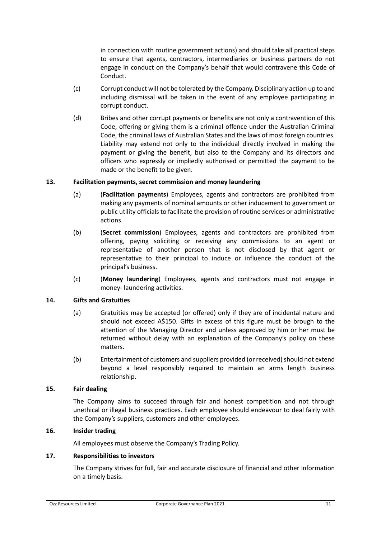in connection with routine government actions) and should take all practical steps to ensure that agents, contractors, intermediaries or business partners do not engage in conduct on the Company's behalf that would contravene this Code of Conduct.

- (c) Corrupt conduct will not be tolerated by the Company. Disciplinary action up to and including dismissal will be taken in the event of any employee participating in corrupt conduct.
- (d) Bribes and other corrupt payments or benefits are not only a contravention of this Code, offering or giving them is a criminal offence under the Australian Criminal Code, the criminal laws of Australian States and the laws of most foreign countries. Liability may extend not only to the individual directly involved in making the payment or giving the benefit, but also to the Company and its directors and officers who expressly or impliedly authorised or permitted the payment to be made or the benefit to be given.

#### **13. Facilitation payments, secret commission and money laundering**

- (a) (**Facilitation payments**) Employees, agents and contractors are prohibited from making any payments of nominal amounts or other inducement to government or public utility officials to facilitate the provision of routine services or administrative actions.
- (b) (**Secret commission**) Employees, agents and contractors are prohibited from offering, paying soliciting or receiving any commissions to an agent or representative of another person that is not disclosed by that agent or representative to their principal to induce or influence the conduct of the principal's business.
- (c) (**Money laundering**) Employees, agents and contractors must not engage in money- laundering activities.

#### **14. Gifts and Gratuities**

- (a) Gratuities may be accepted (or offered) only if they are of incidental nature and should not exceed A\$150. Gifts in excess of this figure must be brough to the attention of the Managing Director and unless approved by him or her must be returned without delay with an explanation of the Company's policy on these matters.
- (b) Entertainment of customers and suppliers provided (or received) should not extend beyond a level responsibly required to maintain an arms length business relationship.

#### **15. Fair dealing**

The Company aims to succeed through fair and honest competition and not through unethical or illegal business practices. Each employee should endeavour to deal fairly with the Company's suppliers, customers and other employees.

#### **16. Insider trading**

All employees must observe the Company's Trading Policy.

#### **17. Responsibilities to investors**

The Company strives for full, fair and accurate disclosure of financial and other information on a timely basis.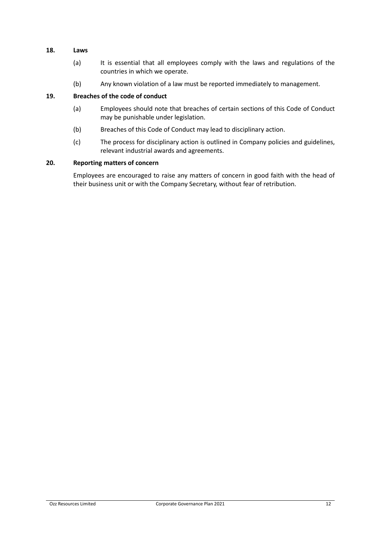#### **18. Laws**

- (a) It is essential that all employees comply with the laws and regulations of the countries in which we operate.
- (b) Any known violation of a law must be reported immediately to management.

#### **19. Breaches of the code of conduct**

- (a) Employees should note that breaches of certain sections of this Code of Conduct may be punishable under legislation.
- (b) Breaches of this Code of Conduct may lead to disciplinary action.
- (c) The process for disciplinary action is outlined in Company policies and guidelines, relevant industrial awards and agreements.

#### **20. Reporting matters of concern**

Employees are encouraged to raise any matters of concern in good faith with the head of their business unit or with the Company Secretary, without fear of retribution.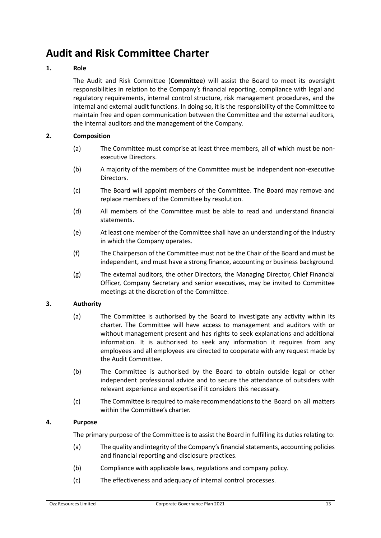# <span id="page-14-0"></span>**Audit and Risk Committee Charter**

### **1. Role**

The Audit and Risk Committee (**Committee**) will assist the Board to meet its oversight responsibilities in relation to the Company's financial reporting, compliance with legal and regulatory requirements, internal control structure, risk management procedures, and the internal and external audit functions. In doing so, it is the responsibility of the Committee to maintain free and open communication between the Committee and the external auditors, the internal auditors and the management of the Company.

### **2. Composition**

- (a) The Committee must comprise at least three members, all of which must be nonexecutive Directors.
- (b) A majority of the members of the Committee must be independent non-executive Directors.
- (c) The Board will appoint members of the Committee. The Board may remove and replace members of the Committee by resolution.
- (d) All members of the Committee must be able to read and understand financial statements.
- (e) At least one member of the Committee shall have an understanding of the industry in which the Company operates.
- (f) The Chairperson of the Committee must not be the Chair of the Board and must be independent, and must have a strong finance, accounting or business background.
- (g) The external auditors, the other Directors, the Managing Director, Chief Financial Officer, Company Secretary and senior executives, may be invited to Committee meetings at the discretion of the Committee.

#### **3. Authority**

- (a) The Committee is authorised by the Board to investigate any activity within its charter. The Committee will have access to management and auditors with or without management present and has rights to seek explanations and additional information. It is authorised to seek any information it requires from any employees and all employees are directed to cooperate with any request made by the Audit Committee.
- (b) The Committee is authorised by the Board to obtain outside legal or other independent professional advice and to secure the attendance of outsiders with relevant experience and expertise if it considers this necessary.
- (c) The Committee is required to make recommendations to the Board on all matters within the Committee's charter.

#### **4. Purpose**

The primary purpose of the Committee is to assist the Board in fulfilling its duties relating to:

- (a) The quality and integrity of the Company's financial statements, accounting policies and financial reporting and disclosure practices.
- (b) Compliance with applicable laws, regulations and company policy.
- (c) The effectiveness and adequacy of internal control processes.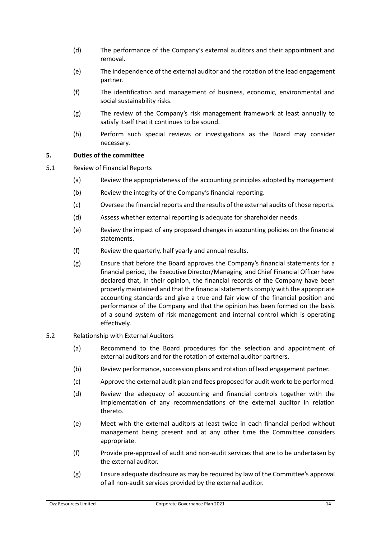- (d) The performance of the Company's external auditors and their appointment and removal.
- (e) The independence of the external auditor and the rotation of the lead engagement partner.
- (f) The identification and management of business, economic, environmental and social sustainability risks.
- (g) The review of the Company's risk management framework at least annually to satisfy itself that it continues to be sound.
- (h) Perform such special reviews or investigations as the Board may consider necessary.

#### **5. Duties of the committee**

- 5.1 Review of Financial Reports
	- (a) Review the appropriateness of the accounting principles adopted by management
	- (b) Review the integrity of the Company's financial reporting.
	- (c) Oversee the financial reports and the results of the external audits of those reports.
	- (d) Assess whether external reporting is adequate for shareholder needs.
	- (e) Review the impact of any proposed changes in accounting policies on the financial statements.
	- (f) Review the quarterly, half yearly and annual results.
	- (g) Ensure that before the Board approves the Company's financial statements for a financial period, the Executive Director/Managing and Chief Financial Officer have declared that, in their opinion, the financial records of the Company have been properly maintained and that the financial statements comply with the appropriate accounting standards and give a true and fair view of the financial position and performance of the Company and that the opinion has been formed on the basis of a sound system of risk management and internal control which is operating effectively.

#### 5.2 Relationship with External Auditors

- (a) Recommend to the Board procedures for the selection and appointment of external auditors and for the rotation of external auditor partners.
- (b) Review performance, succession plans and rotation of lead engagement partner.
- (c) Approve the external audit plan and fees proposed for audit work to be performed.
- (d) Review the adequacy of accounting and financial controls together with the implementation of any recommendations of the external auditor in relation thereto.
- (e) Meet with the external auditors at least twice in each financial period without management being present and at any other time the Committee considers appropriate.
- (f) Provide pre-approval of audit and non-audit services that are to be undertaken by the external auditor.
- (g) Ensure adequate disclosure as may be required by law of the Committee's approval of all non-audit services provided by the external auditor.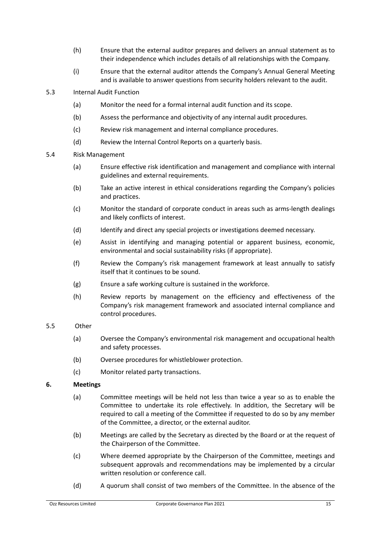- (h) Ensure that the external auditor prepares and delivers an annual statement as to their independence which includes details of all relationships with the Company.
- (i) Ensure that the external auditor attends the Company's Annual General Meeting and is available to answer questions from security holders relevant to the audit.
- 5.3 Internal Audit Function
	- (a) Monitor the need for a formal internal audit function and its scope.
	- (b) Assess the performance and objectivity of any internal audit procedures.
	- (c) Review risk management and internal compliance procedures.
	- (d) Review the Internal Control Reports on a quarterly basis.
- 5.4 Risk Management
	- (a) Ensure effective risk identification and management and compliance with internal guidelines and external requirements.
	- (b) Take an active interest in ethical considerations regarding the Company's policies and practices.
	- (c) Monitor the standard of corporate conduct in areas such as arms-length dealings and likely conflicts of interest.
	- (d) Identify and direct any special projects or investigations deemed necessary.
	- (e) Assist in identifying and managing potential or apparent business, economic, environmental and social sustainability risks (if appropriate).
	- (f) Review the Company's risk management framework at least annually to satisfy itself that it continues to be sound.
	- (g) Ensure a safe working culture is sustained in the workforce.
	- (h) Review reports by management on the efficiency and effectiveness of the Company's risk management framework and associated internal compliance and control procedures.

#### 5.5 Other

- (a) Oversee the Company's environmental risk management and occupational health and safety processes.
- (b) Oversee procedures for whistleblower protection.
- (c) Monitor related party transactions.

# **6. Meetings**

- (a) Committee meetings will be held not less than twice a year so as to enable the Committee to undertake its role effectively. In addition, the Secretary will be required to call a meeting of the Committee if requested to do so by any member of the Committee, a director, or the external auditor.
- (b) Meetings are called by the Secretary as directed by the Board or at the request of the Chairperson of the Committee.
- (c) Where deemed appropriate by the Chairperson of the Committee, meetings and subsequent approvals and recommendations may be implemented by a circular written resolution or conference call.
- (d) A quorum shall consist of two members of the Committee. In the absence of the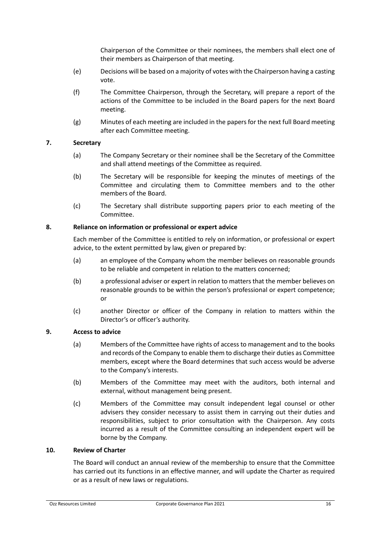Chairperson of the Committee or their nominees, the members shall elect one of their members as Chairperson of that meeting.

- (e) Decisions will be based on a majority of votes with the Chairperson having a casting vote.
- (f) The Committee Chairperson, through the Secretary, will prepare a report of the actions of the Committee to be included in the Board papers for the next Board meeting.
- (g) Minutes of each meeting are included in the papers for the next full Board meeting after each Committee meeting.

### **7. Secretary**

- (a) The Company Secretary or their nominee shall be the Secretary of the Committee and shall attend meetings of the Committee as required.
- (b) The Secretary will be responsible for keeping the minutes of meetings of the Committee and circulating them to Committee members and to the other members of the Board.
- (c) The Secretary shall distribute supporting papers prior to each meeting of the Committee.

### **8. Reliance on information or professional or expert advice**

Each member of the Committee is entitled to rely on information, or professional or expert advice, to the extent permitted by law, given or prepared by:

- (a) an employee of the Company whom the member believes on reasonable grounds to be reliable and competent in relation to the matters concerned;
- (b) a professional adviser or expert in relation to matters that the member believes on reasonable grounds to be within the person's professional or expert competence; or
- (c) another Director or officer of the Company in relation to matters within the Director's or officer's authority.

#### **9. Access to advice**

- (a) Members of the Committee have rights of access to management and to the books and records of the Company to enable them to discharge their duties as Committee members, except where the Board determines that such access would be adverse to the Company's interests.
- (b) Members of the Committee may meet with the auditors, both internal and external, without management being present.
- (c) Members of the Committee may consult independent legal counsel or other advisers they consider necessary to assist them in carrying out their duties and responsibilities, subject to prior consultation with the Chairperson. Any costs incurred as a result of the Committee consulting an independent expert will be borne by the Company.

#### **10. Review of Charter**

The Board will conduct an annual review of the membership to ensure that the Committee has carried out its functions in an effective manner, and will update the Charter as required or as a result of new laws or regulations.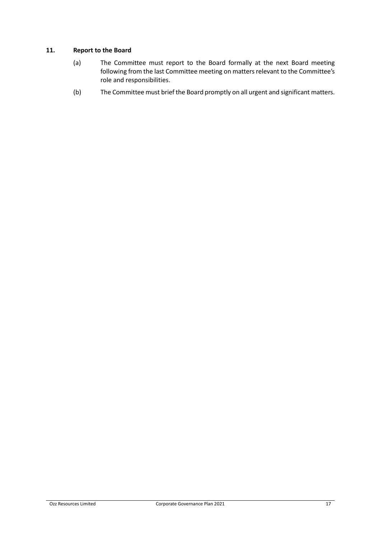### **11. Report to the Board**

- (a) The Committee must report to the Board formally at the next Board meeting following from the last Committee meeting on matters relevant to the Committee's role and responsibilities.
- (b) The Committee must brief the Board promptly on all urgent and significant matters.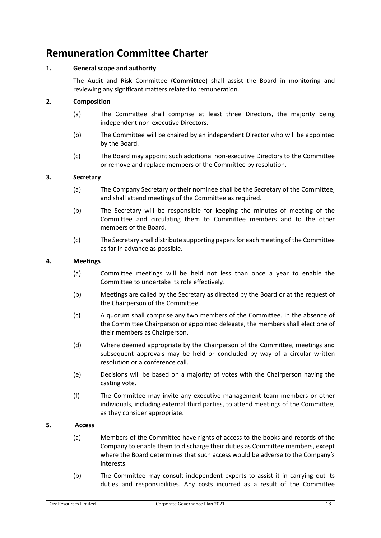# <span id="page-19-0"></span>**Remuneration Committee Charter**

# **1. General scope and authority**

The Audit and Risk Committee (**Committee**) shall assist the Board in monitoring and reviewing any significant matters related to remuneration.

# **2. Composition**

- (a) The Committee shall comprise at least three Directors, the majority being independent non-executive Directors.
- (b) The Committee will be chaired by an independent Director who will be appointed by the Board.
- (c) The Board may appoint such additional non-executive Directors to the Committee or remove and replace members of the Committee by resolution.

### **3. Secretary**

- (a) The Company Secretary or their nominee shall be the Secretary of the Committee, and shall attend meetings of the Committee as required.
- (b) The Secretary will be responsible for keeping the minutes of meeting of the Committee and circulating them to Committee members and to the other members of the Board.
- (c) The Secretary shall distribute supporting papers for each meeting of the Committee as far in advance as possible.

### **4. Meetings**

- (a) Committee meetings will be held not less than once a year to enable the Committee to undertake its role effectively.
- (b) Meetings are called by the Secretary as directed by the Board or at the request of the Chairperson of the Committee.
- (c) A quorum shall comprise any two members of the Committee. In the absence of the Committee Chairperson or appointed delegate, the members shall elect one of their members as Chairperson.
- (d) Where deemed appropriate by the Chairperson of the Committee, meetings and subsequent approvals may be held or concluded by way of a circular written resolution or a conference call.
- (e) Decisions will be based on a majority of votes with the Chairperson having the casting vote.
- (f) The Committee may invite any executive management team members or other individuals, including external third parties, to attend meetings of the Committee, as they consider appropriate.

#### **5. Access**

- (a) Members of the Committee have rights of access to the books and records of the Company to enable them to discharge their duties as Committee members, except where the Board determines that such access would be adverse to the Company's interests.
- (b) The Committee may consult independent experts to assist it in carrying out its duties and responsibilities. Any costs incurred as a result of the Committee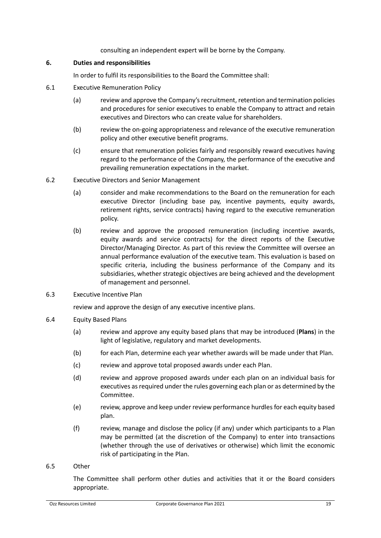consulting an independent expert will be borne by the Company.

#### **6. Duties and responsibilities**

In order to fulfil its responsibilities to the Board the Committee shall:

- 6.1 Executive Remuneration Policy
	- (a) review and approve the Company'srecruitment, retention and termination policies and procedures for senior executives to enable the Company to attract and retain executives and Directors who can create value for shareholders.
	- (b) review the on-going appropriateness and relevance of the executive remuneration policy and other executive benefit programs.
	- (c) ensure that remuneration policies fairly and responsibly reward executives having regard to the performance of the Company, the performance of the executive and prevailing remuneration expectations in the market.
- 6.2 Executive Directors and Senior Management
	- (a) consider and make recommendations to the Board on the remuneration for each executive Director (including base pay, incentive payments, equity awards, retirement rights, service contracts) having regard to the executive remuneration policy.
	- (b) review and approve the proposed remuneration (including incentive awards, equity awards and service contracts) for the direct reports of the Executive Director/Managing Director. As part of this review the Committee will oversee an annual performance evaluation of the executive team. This evaluation is based on specific criteria, including the business performance of the Company and its subsidiaries, whether strategic objectives are being achieved and the development of management and personnel.
- 6.3 Executive Incentive Plan

review and approve the design of any executive incentive plans.

- 6.4 Equity Based Plans
	- (a) review and approve any equity based plans that may be introduced (**Plans**) in the light of legislative, regulatory and market developments.
	- (b) for each Plan, determine each year whether awards will be made under that Plan.
	- (c) review and approve total proposed awards under each Plan.
	- (d) review and approve proposed awards under each plan on an individual basis for executives as required under the rules governing each plan or as determined by the Committee.
	- (e) review, approve and keep under review performance hurdles for each equity based plan.
	- (f) review, manage and disclose the policy (if any) under which participants to a Plan may be permitted (at the discretion of the Company) to enter into transactions (whether through the use of derivatives or otherwise) which limit the economic risk of participating in the Plan.
- 6.5 Other

The Committee shall perform other duties and activities that it or the Board considers appropriate.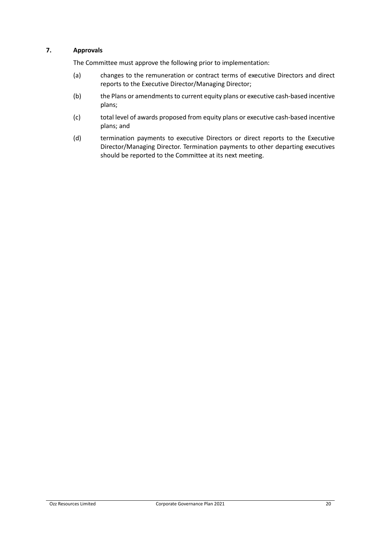# **7. Approvals**

The Committee must approve the following prior to implementation:

- (a) changes to the remuneration or contract terms of executive Directors and direct reports to the Executive Director/Managing Director;
- (b) the Plans or amendments to current equity plans or executive cash-based incentive plans;
- (c) total level of awards proposed from equity plans or executive cash-based incentive plans; and
- (d) termination payments to executive Directors or direct reports to the Executive Director/Managing Director. Termination payments to other departing executives should be reported to the Committee at its next meeting.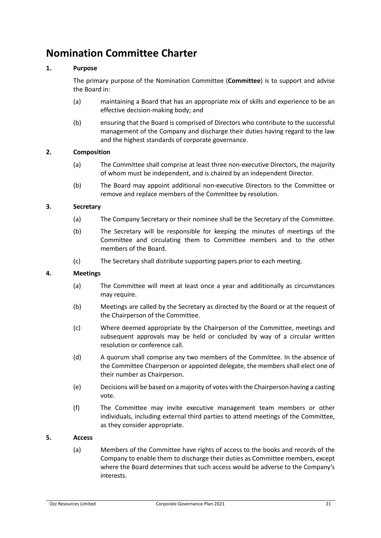# <span id="page-22-0"></span>**Nomination Committee Charter**

# **1. Purpose**

The primary purpose of the Nomination Committee (**Committee**) is to support and advise the Board in:

- (a) maintaining a Board that has an appropriate mix of skills and experience to be an effective decision-making body; and
- (b) ensuring that the Board is comprised of Directors who contribute to the successful management of the Company and discharge their duties having regard to the law and the highest standards of corporate governance.

#### **2. Composition**

- (a) The Committee shall comprise at least three non-executive Directors, the majority of whom must be independent, and is chaired by an independent Director.
- (b) The Board may appoint additional non-executive Directors to the Committee or remove and replace members of the Committee by resolution.

### **3. Secretary**

- (a) The Company Secretary or their nominee shall be the Secretary of the Committee.
- (b) The Secretary will be responsible for keeping the minutes of meetings of the Committee and circulating them to Committee members and to the other members of the Board.
- (c) The Secretary shall distribute supporting papers prior to each meeting.

#### **4. Meetings**

- (a) The Committee will meet at least once a year and additionally as circumstances may require.
- (b) Meetings are called by the Secretary as directed by the Board or at the request of the Chairperson of the Committee.
- (c) Where deemed appropriate by the Chairperson of the Committee, meetings and subsequent approvals may be held or concluded by way of a circular written resolution or conference call.
- (d) A quorum shall comprise any two members of the Committee. In the absence of the Committee Chairperson or appointed delegate, the members shall elect one of their number as Chairperson.
- (e) Decisions will be based on a majority of votes with the Chairperson having a casting vote.
- (f) The Committee may invite executive management team members or other individuals, including external third parties to attend meetings of the Committee, as they consider appropriate.

#### **5. Access**

(a) Members of the Committee have rights of access to the books and records of the Company to enable them to discharge their duties as Committee members, except where the Board determines that such access would be adverse to the Company's interests.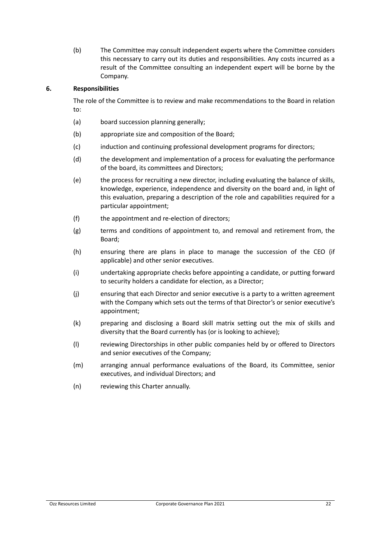(b) The Committee may consult independent experts where the Committee considers this necessary to carry out its duties and responsibilities. Any costs incurred as a result of the Committee consulting an independent expert will be borne by the Company.

### **6. Responsibilities**

The role of the Committee is to review and make recommendations to the Board in relation to:

- (a) board succession planning generally;
- (b) appropriate size and composition of the Board;
- (c) induction and continuing professional development programs for directors;
- (d) the development and implementation of a process for evaluating the performance of the board, its committees and Directors;
- (e) the process for recruiting a new director, including evaluating the balance of skills, knowledge, experience, independence and diversity on the board and, in light of this evaluation, preparing a description of the role and capabilities required for a particular appointment;
- (f) the appointment and re-election of directors;
- (g) terms and conditions of appointment to, and removal and retirement from, the Board;
- (h) ensuring there are plans in place to manage the succession of the CEO (if applicable) and other senior executives.
- (i) undertaking appropriate checks before appointing a candidate, or putting forward to security holders a candidate for election, as a Director;
- (j) ensuring that each Director and senior executive is a party to a written agreement with the Company which sets out the terms of that Director's or senior executive's appointment;
- (k) preparing and disclosing a Board skill matrix setting out the mix of skills and diversity that the Board currently has (or is looking to achieve);
- (l) reviewing Directorships in other public companies held by or offered to Directors and senior executives of the Company;
- (m) arranging annual performance evaluations of the Board, its Committee, senior executives, and individual Directors; and
- (n) reviewing this Charter annually.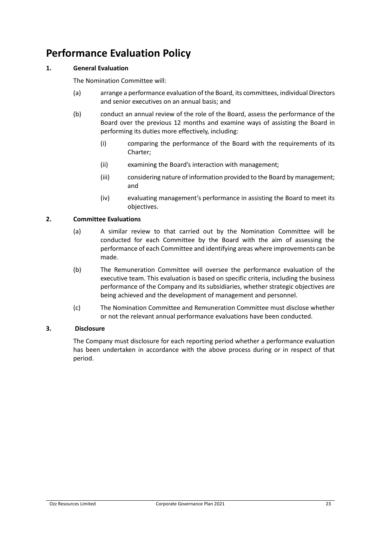# <span id="page-24-0"></span>**Performance Evaluation Policy**

# **1. General Evaluation**

The Nomination Committee will:

- (a) arrange a performance evaluation of the Board, its committees, individual Directors and senior executives on an annual basis; and
- (b) conduct an annual review of the role of the Board, assess the performance of the Board over the previous 12 months and examine ways of assisting the Board in performing its duties more effectively, including:
	- (i) comparing the performance of the Board with the requirements of its Charter;
	- (ii) examining the Board's interaction with management;
	- (iii) considering nature of information provided to the Board by management; and
	- (iv) evaluating management's performance in assisting the Board to meet its objectives.

### **2. Committee Evaluations**

- (a) A similar review to that carried out by the Nomination Committee will be conducted for each Committee by the Board with the aim of assessing the performance of each Committee and identifying areas where improvements can be made.
- (b) The Remuneration Committee will oversee the performance evaluation of the executive team. This evaluation is based on specific criteria, including the business performance of the Company and its subsidiaries, whether strategic objectives are being achieved and the development of management and personnel.
- (c) The Nomination Committee and Remuneration Committee must disclose whether or not the relevant annual performance evaluations have been conducted.

#### **3. Disclosure**

The Company must disclosure for each reporting period whether a performance evaluation has been undertaken in accordance with the above process during or in respect of that period.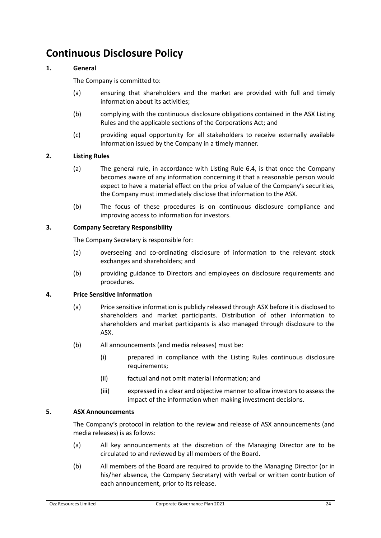# <span id="page-25-0"></span>**Continuous Disclosure Policy**

### **1. General**

The Company is committed to:

- (a) ensuring that shareholders and the market are provided with full and timely information about its activities;
- (b) complying with the continuous disclosure obligations contained in the ASX Listing Rules and the applicable sections of the Corporations Act; and
- (c) providing equal opportunity for all stakeholders to receive externally available information issued by the Company in a timely manner.

### **2. Listing Rules**

- (a) The general rule, in accordance with Listing Rule 6.4, is that once the Company becomes aware of any information concerning it that a reasonable person would expect to have a material effect on the price of value of the Company's securities, the Company must immediately disclose that information to the ASX.
- (b) The focus of these procedures is on continuous disclosure compliance and improving access to information for investors.

### **3. Company Secretary Responsibility**

The Company Secretary is responsible for:

- (a) overseeing and co-ordinating disclosure of information to the relevant stock exchanges and shareholders; and
- (b) providing guidance to Directors and employees on disclosure requirements and procedures.

#### **4. Price Sensitive Information**

- (a) Price sensitive information is publicly released through ASX before it is disclosed to shareholders and market participants. Distribution of other information to shareholders and market participants is also managed through disclosure to the ASX.
- (b) All announcements (and media releases) must be:
	- (i) prepared in compliance with the Listing Rules continuous disclosure requirements;
	- (ii) factual and not omit material information; and
	- (iii) expressed in a clear and objective manner to allow investors to assess the impact of the information when making investment decisions.

### **5. ASX Announcements**

The Company's protocol in relation to the review and release of ASX announcements (and media releases) is as follows:

- (a) All key announcements at the discretion of the Managing Director are to be circulated to and reviewed by all members of the Board.
- (b) All members of the Board are required to provide to the Managing Director (or in his/her absence, the Company Secretary) with verbal or written contribution of each announcement, prior to its release.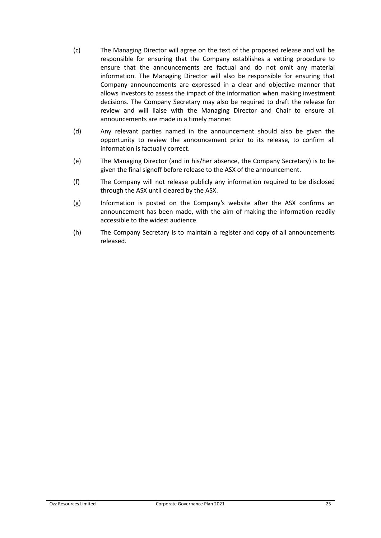- (c) The Managing Director will agree on the text of the proposed release and will be responsible for ensuring that the Company establishes a vetting procedure to ensure that the announcements are factual and do not omit any material information. The Managing Director will also be responsible for ensuring that Company announcements are expressed in a clear and objective manner that allows investors to assess the impact of the information when making investment decisions. The Company Secretary may also be required to draft the release for review and will liaise with the Managing Director and Chair to ensure all announcements are made in a timely manner.
- (d) Any relevant parties named in the announcement should also be given the opportunity to review the announcement prior to its release, to confirm all information is factually correct.
- (e) The Managing Director (and in his/her absence, the Company Secretary) is to be given the final signoff before release to the ASX of the announcement.
- (f) The Company will not release publicly any information required to be disclosed through the ASX until cleared by the ASX.
- (g) Information is posted on the Company's website after the ASX confirms an announcement has been made, with the aim of making the information readily accessible to the widest audience.
- (h) The Company Secretary is to maintain a register and copy of all announcements released.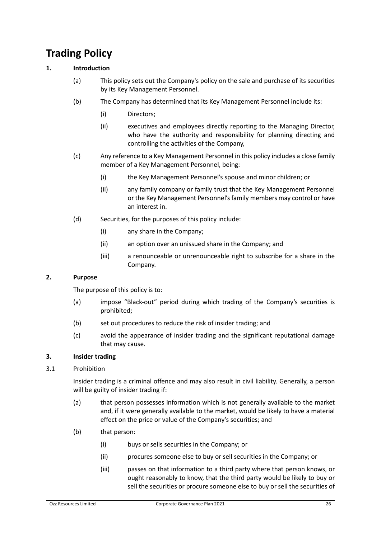# <span id="page-27-0"></span>**Trading Policy**

# **1. Introduction**

- (a) This policy sets out the Company's policy on the sale and purchase of its securities by its Key Management Personnel.
- (b) The Company has determined that its Key Management Personnel include its:
	- (i) Directors;
	- (ii) executives and employees directly reporting to the Managing Director, who have the authority and responsibility for planning directing and controlling the activities of the Company,
- (c) Any reference to a Key Management Personnel in this policy includes a close family member of a Key Management Personnel, being:
	- (i) the Key Management Personnel's spouse and minor children; or
	- (ii) any family company or family trust that the Key Management Personnel or the Key Management Personnel's family members may control or have an interest in.
- (d) Securities, for the purposes of this policy include:
	- (i) any share in the Company;
	- (ii) an option over an unissued share in the Company; and
	- (iii) a renounceable or unrenounceable right to subscribe for a share in the Company.

# **2. Purpose**

The purpose of this policy is to:

- (a) impose "Black-out" period during which trading of the Company's securities is prohibited;
- (b) set out procedures to reduce the risk of insider trading; and
- (c) avoid the appearance of insider trading and the significant reputational damage that may cause.

#### **3. Insider trading**

#### 3.1 Prohibition

Insider trading is a criminal offence and may also result in civil liability. Generally, a person will be guilty of insider trading if:

- (a) that person possesses information which is not generally available to the market and, if it were generally available to the market, would be likely to have a material effect on the price or value of the Company's securities; and
- (b) that person:
	- (i) buys or sells securities in the Company; or
	- (ii) procures someone else to buy or sell securities in the Company; or
	- (iii) passes on that information to a third party where that person knows, or ought reasonably to know, that the third party would be likely to buy or sell the securities or procure someone else to buy or sell the securities of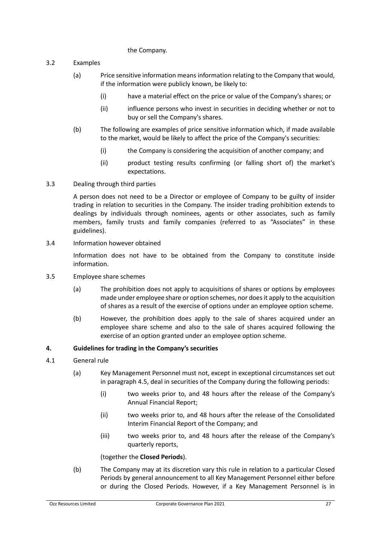#### the Company.

- 3.2 Examples
	- (a) Price sensitive information means information relating to the Company that would, if the information were publicly known, be likely to:
		- (i) have a material effect on the price or value of the Company's shares; or
		- (ii) influence persons who invest in securities in deciding whether or not to buy or sell the Company's shares.
	- (b) The following are examples of price sensitive information which, if made available to the market, would be likely to affect the price of the Company's securities:
		- (i) the Company is considering the acquisition of another company; and
		- (ii) product testing results confirming (or falling short of) the market's expectations.

#### 3.3 Dealing through third parties

A person does not need to be a Director or employee of Company to be guilty of insider trading in relation to securities in the Company. The insider trading prohibition extends to dealings by individuals through nominees, agents or other associates, such as family members, family trusts and family companies (referred to as "Associates" in these guidelines).

3.4 Information however obtained

Information does not have to be obtained from the Company to constitute inside information.

- 3.5 Employee share schemes
	- (a) The prohibition does not apply to acquisitions of shares or options by employees made under employee share or option schemes, nor does it apply to the acquisition of shares as a result of the exercise of options under an employee option scheme.
	- (b) However, the prohibition does apply to the sale of shares acquired under an employee share scheme and also to the sale of shares acquired following the exercise of an option granted under an employee option scheme.

#### **4. Guidelines for trading in the Company's securities**

- 4.1 General rule
	- (a) Key Management Personnel must not, except in exceptional circumstances set out in paragraph 4.5, deal in securities of the Company during the following periods:
		- (i) two weeks prior to, and 48 hours after the release of the Company's Annual Financial Report;
		- (ii) two weeks prior to, and 48 hours after the release of the Consolidated Interim Financial Report of the Company; and
		- (iii) two weeks prior to, and 48 hours after the release of the Company's quarterly reports,

#### (together the **Closed Periods**).

(b) The Company may at its discretion vary this rule in relation to a particular Closed Periods by general announcement to all Key Management Personnel either before or during the Closed Periods. However, if a Key Management Personnel is in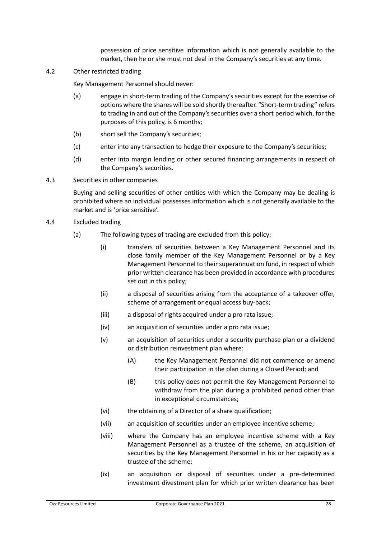possession of price sensitive information which is not generally available to the market, then he or she must not deal in the Company's securities at any time.

4.2 Other restricted trading

Key Management Personnel should never:

- (a) engage in short-term trading of the Company's securities except for the exercise of options where the shares will be sold shortly thereafter. "Short-term trading" refers to trading in and out of the Company's securities over a short period which, for the purposes of this policy, is 6 months;
- (b) short sell the Company's securities;
- (c) enter into any transaction to hedge their exposure to the Company's securities;
- (d) enter into margin lending or other secured financing arrangements in respect of the Company's securities.
- 4.3 Securities in other companies

Buying and selling securities of other entities with which the Company may be dealing is prohibited where an individual possesses information which is not generally available to the market and is 'price sensitive'.

- 4.4 Excluded trading
	- (a) The following types of trading are excluded from this policy:
		- (i) transfers of securities between a Key Management Personnel and its close family member of the Key Management Personnel or by a Key Management Personnel to their superannuation fund, in respect of which prior written clearance has been provided in accordance with procedures set out in this policy;
		- (ii) a disposal of securities arising from the acceptance of a takeover offer, scheme of arrangement or equal access buy-back;
		- (iii) a disposal of rights acquired under a pro rata issue;
		- (iv) an acquisition of securities under a pro rata issue;
		- (v) an acquisition of securities under a security purchase plan or a dividend or distribution reinvestment plan where:
			- (A) the Key Management Personnel did not commence or amend their participation in the plan during a Closed Period; and
			- (B) this policy does not permit the Key Management Personnel to withdraw from the plan during a prohibited period other than in exceptional circumstances;
		- (vi) the obtaining of a Director of a share qualification;
		- (vii) an acquisition of securities under an employee incentive scheme;
		- (viii) where the Company has an employee incentive scheme with a Key Management Personnel as a trustee of the scheme, an acquisition of securities by the Key Management Personnel in his or her capacity as a trustee of the scheme;
		- (ix) an acquisition or disposal of securities under a pre-determined investment divestment plan for which prior written clearance has been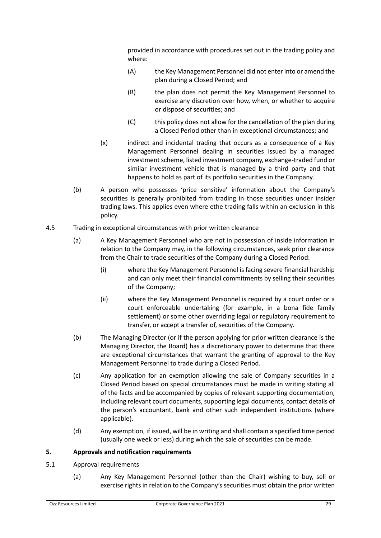provided in accordance with procedures set out in the trading policy and where:

- (A) the Key Management Personnel did not enter into or amend the plan during a Closed Period; and
- (B) the plan does not permit the Key Management Personnel to exercise any discretion over how, when, or whether to acquire or dispose of securities; and
- (C) this policy does not allow for the cancellation of the plan during a Closed Period other than in exceptional circumstances; and
- (x) indirect and incidental trading that occurs as a consequence of a Key Management Personnel dealing in securities issued by a managed investment scheme, listed investment company, exchange-traded fund or similar investment vehicle that is managed by a third party and that happens to hold as part of its portfolio securities in the Company.
- (b) A person who possesses 'price sensitive' information about the Company's securities is generally prohibited from trading in those securities under insider trading laws. This applies even where ethe trading falls within an exclusion in this policy.
- 4.5 Trading in exceptional circumstances with prior written clearance
	- (a) A Key Management Personnel who are not in possession of inside information in relation to the Company may, in the following circumstances, seek prior clearance from the Chair to trade securities of the Company during a Closed Period:
		- (i) where the Key Management Personnel is facing severe financial hardship and can only meet their financial commitments by selling their securities of the Company;
		- (ii) where the Key Management Personnel is required by a court order or a court enforceable undertaking (for example, in a bona fide family settlement) or some other overriding legal or regulatory requirement to transfer, or accept a transfer of, securities of the Company.
	- (b) The Managing Director (or if the person applying for prior written clearance is the Managing Director, the Board) has a discretionary power to determine that there are exceptional circumstances that warrant the granting of approval to the Key Management Personnel to trade during a Closed Period.
	- (c) Any application for an exemption allowing the sale of Company securities in a Closed Period based on special circumstances must be made in writing stating all of the facts and be accompanied by copies of relevant supporting documentation, including relevant court documents, supporting legal documents, contact details of the person's accountant, bank and other such independent institutions (where applicable).
	- (d) Any exemption, if issued, will be in writing and shall contain a specified time period (usually one week or less) during which the sale of securities can be made.

#### **5. Approvals and notification requirements**

- <span id="page-30-0"></span>5.1 Approval requirements
	- (a) Any Key Management Personnel (other than the Chair) wishing to buy, sell or exercise rights in relation to the Company's securities must obtain the prior written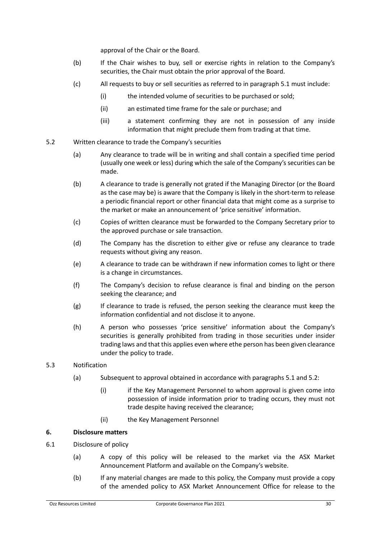approval of the Chair or the Board.

- (b) If the Chair wishes to buy, sell or exercise rights in relation to the Company's securities, the Chair must obtain the prior approval of the Board.
- (c) All requests to buy or sell securities as referred to in paragraph [5.1](#page-30-0) must include:
	- (i) the intended volume of securities to be purchased or sold;
	- (ii) an estimated time frame for the sale or purchase; and
	- (iii) a statement confirming they are not in possession of any inside information that might preclude them from trading at that time.
- <span id="page-31-0"></span>5.2 Written clearance to trade the Company's securities
	- (a) Any clearance to trade will be in writing and shall contain a specified time period (usually one week or less) during which the sale of the Company's securities can be made.
	- (b) A clearance to trade is generally not grated if the Managing Director (or the Board as the case may be) is aware that the Company is likely in the short-term to release a periodic financial report or other financial data that might come as a surprise to the market or make an announcement of 'price sensitive' information.
	- (c) Copies of written clearance must be forwarded to the Company Secretary prior to the approved purchase or sale transaction.
	- (d) The Company has the discretion to either give or refuse any clearance to trade requests without giving any reason.
	- (e) A clearance to trade can be withdrawn if new information comes to light or there is a change in circumstances.
	- (f) The Company's decision to refuse clearance is final and binding on the person seeking the clearance; and
	- (g) If clearance to trade is refused, the person seeking the clearance must keep the information confidential and not disclose it to anyone.
	- (h) A person who possesses 'price sensitive' information about the Company's securities is generally prohibited from trading in those securities under insider trading laws and that this applies even where ethe person has been given clearance under the policy to trade.

# 5.3 Notification

- (a) Subsequent to approval obtained in accordance with paragraph[s 5.1](#page-30-0) an[d 5.2:](#page-31-0)
	- (i) if the Key Management Personnel to whom approval is given come into possession of inside information prior to trading occurs, they must not trade despite having received the clearance;
	- (ii) the Key Management Personnel

#### **6. Disclosure matters**

- 6.1 Disclosure of policy
	- (a) A copy of this policy will be released to the market via the ASX Market Announcement Platform and available on the Company's website.
	- (b) If any material changes are made to this policy, the Company must provide a copy of the amended policy to ASX Market Announcement Office for release to the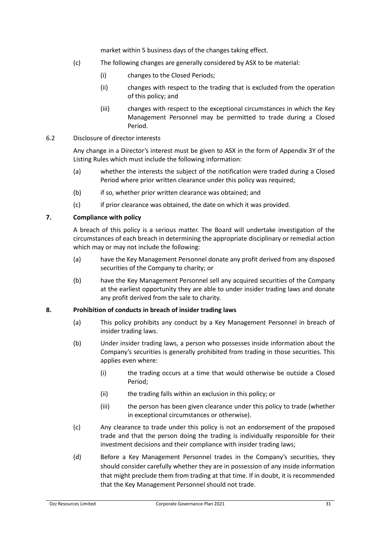market within 5 business days of the changes taking effect.

- (c) The following changes are generally considered by ASX to be material:
	- (i) changes to the Closed Periods;
	- (ii) changes with respect to the trading that is excluded from the operation of this policy; and
	- (iii) changes with respect to the exceptional circumstances in which the Key Management Personnel may be permitted to trade during a Closed Period.

#### 6.2 Disclosure of director interests

Any change in a Director's interest must be given to ASX in the form of Appendix 3Y of the Listing Rules which must include the following information:

- (a) whether the interests the subject of the notification were traded during a Closed Period where prior written clearance under this policy was required;
- (b) if so, whether prior written clearance was obtained; and
- (c) if prior clearance was obtained, the date on which it was provided.

### **7. Compliance with policy**

A breach of this policy is a serious matter. The Board will undertake investigation of the circumstances of each breach in determining the appropriate disciplinary or remedial action which may or may not include the following:

- (a) have the Key Management Personnel donate any profit derived from any disposed securities of the Company to charity; or
- (b) have the Key Management Personnel sell any acquired securities of the Company at the earliest opportunity they are able to under insider trading laws and donate any profit derived from the sale to charity.

#### **8. Prohibition of conducts in breach of insider trading laws**

- (a) This policy prohibits any conduct by a Key Management Personnel in breach of insider trading laws.
- (b) Under insider trading laws, a person who possesses inside information about the Company's securities is generally prohibited from trading in those securities. This applies even where:
	- (i) the trading occurs at a time that would otherwise be outside a Closed Period;
	- (ii) the trading falls within an exclusion in this policy; or
	- (iii) the person has been given clearance under this policy to trade (whether in exceptional circumstances or otherwise).
- (c) Any clearance to trade under this policy is not an endorsement of the proposed trade and that the person doing the trading is individually responsible for their investment decisions and their compliance with insider trading laws;
- (d) Before a Key Management Personnel trades in the Company's securities, they should consider carefully whether they are in possession of any inside information that might preclude them from trading at that time. If in doubt, it is recommended that the Key Management Personnel should not trade.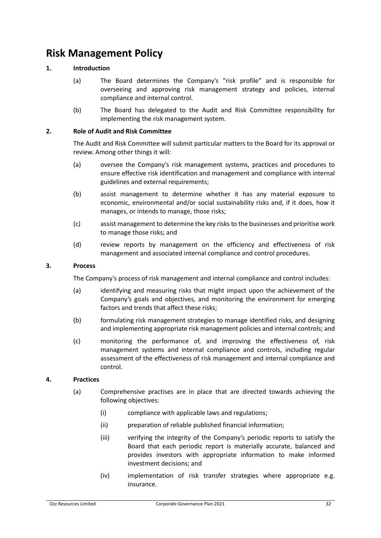# <span id="page-33-0"></span>**Risk Management Policy**

# **1. Introduction**

- (a) The Board determines the Company's "risk profile" and is responsible for overseeing and approving risk management strategy and policies, internal compliance and internal control.
- (b) The Board has delegated to the Audit and Risk Committee responsibility for implementing the risk management system.

### **2. Role of Audit and Risk Committee**

The Audit and Risk Committee will submit particular matters to the Board for its approval or review. Among other things it will:

- (a) oversee the Company's risk management systems, practices and procedures to ensure effective risk identification and management and compliance with internal guidelines and external requirements;
- (b) assist management to determine whether it has any material exposure to economic, environmental and/or social sustainability risks and, if it does, how it manages, or intends to manage, those risks;
- (c) assist management to determine the key risks to the businesses and prioritise work to manage those risks; and
- (d) review reports by management on the efficiency and effectiveness of risk management and associated internal compliance and control procedures.

#### **3. Process**

The Company's process of risk management and internal compliance and control includes:

- (a) identifying and measuring risks that might impact upon the achievement of the Company's goals and objectives, and monitoring the environment for emerging factors and trends that affect these risks;
- (b) formulating risk management strategies to manage identified risks, and designing and implementing appropriate risk management policies and internal controls; and
- (c) monitoring the performance of, and improving the effectiveness of, risk management systems and internal compliance and controls, including regular assessment of the effectiveness of risk management and internal compliance and control.

#### **4. Practices**

- (a) Comprehensive practises are in place that are directed towards achieving the following objectives:
	- (i) compliance with applicable laws and regulations;
	- (ii) preparation of reliable published financial information;
	- (iii) verifying the integrity of the Company's periodic reports to satisfy the Board that each periodic report is materially accurate, balanced and provides investors with appropriate information to make informed investment decisions; and
	- (iv) implementation of risk transfer strategies where appropriate e.g. insurance.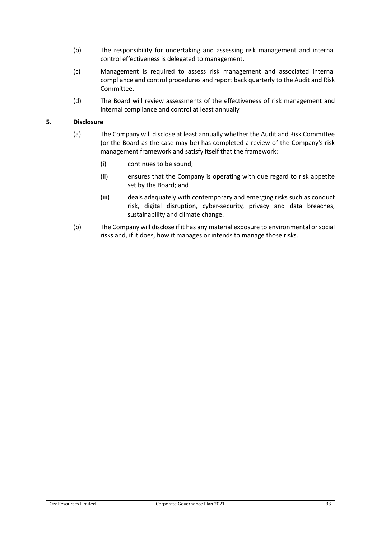- (b) The responsibility for undertaking and assessing risk management and internal control effectiveness is delegated to management.
- (c) Management is required to assess risk management and associated internal compliance and control procedures and report back quarterly to the Audit and Risk Committee.
- (d) The Board will review assessments of the effectiveness of risk management and internal compliance and control at least annually.

#### **5. Disclosure**

- (a) The Company will disclose at least annually whether the Audit and Risk Committee (or the Board as the case may be) has completed a review of the Company's risk management framework and satisfy itself that the framework:
	- (i) continues to be sound;
	- (ii) ensures that the Company is operating with due regard to risk appetite set by the Board; and
	- (iii) deals adequately with contemporary and emerging risks such as conduct risk, digital disruption, cyber-security, privacy and data breaches, sustainability and climate change.
- (b) The Company will disclose if it has any material exposure to environmental or social risks and, if it does, how it manages or intends to manage those risks.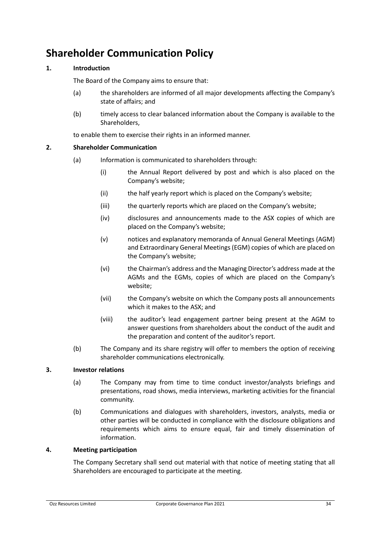# <span id="page-35-0"></span>**Shareholder Communication Policy**

# **1. Introduction**

The Board of the Company aims to ensure that:

- (a) the shareholders are informed of all major developments affecting the Company's state of affairs; and
- (b) timely access to clear balanced information about the Company is available to the Shareholders,

to enable them to exercise their rights in an informed manner.

### **2. Shareholder Communication**

- (a) Information is communicated to shareholders through:
	- (i) the Annual Report delivered by post and which is also placed on the Company's website;
	- (ii) the half yearly report which is placed on the Company's website;
	- (iii) the quarterly reports which are placed on the Company's website;
	- (iv) disclosures and announcements made to the ASX copies of which are placed on the Company's website;
	- (v) notices and explanatory memoranda of Annual General Meetings (AGM) and Extraordinary General Meetings (EGM) copies of which are placed on the Company's website;
	- (vi) the Chairman's address and the Managing Director's address made at the AGMs and the EGMs, copies of which are placed on the Company's website;
	- (vii) the Company's website on which the Company posts all announcements which it makes to the ASX; and
	- (viii) the auditor's lead engagement partner being present at the AGM to answer questions from shareholders about the conduct of the audit and the preparation and content of the auditor's report.
- (b) The Company and its share registry will offer to members the option of receiving shareholder communications electronically.

#### **3. Investor relations**

- (a) The Company may from time to time conduct investor/analysts briefings and presentations, road shows, media interviews, marketing activities for the financial community.
- (b) Communications and dialogues with shareholders, investors, analysts, media or other parties will be conducted in compliance with the disclosure obligations and requirements which aims to ensure equal, fair and timely dissemination of information.

#### **4. Meeting participation**

The Company Secretary shall send out material with that notice of meeting stating that all Shareholders are encouraged to participate at the meeting.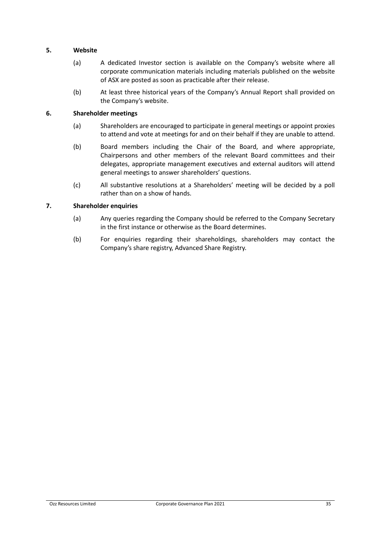#### **5. Website**

- (a) A dedicated Investor section is available on the Company's website where all corporate communication materials including materials published on the website of ASX are posted as soon as practicable after their release.
- (b) At least three historical years of the Company's Annual Report shall provided on the Company's website.

#### **6. Shareholder meetings**

- (a) Shareholders are encouraged to participate in general meetings or appoint proxies to attend and vote at meetings for and on their behalf if they are unable to attend.
- (b) Board members including the Chair of the Board, and where appropriate, Chairpersons and other members of the relevant Board committees and their delegates, appropriate management executives and external auditors will attend general meetings to answer shareholders' questions.
- (c) All substantive resolutions at a Shareholders' meeting will be decided by a poll rather than on a show of hands.

### **7. Shareholder enquiries**

- (a) Any queries regarding the Company should be referred to the Company Secretary in the first instance or otherwise as the Board determines.
- (b) For enquiries regarding their shareholdings, shareholders may contact the Company's share registry, Advanced Share Registry.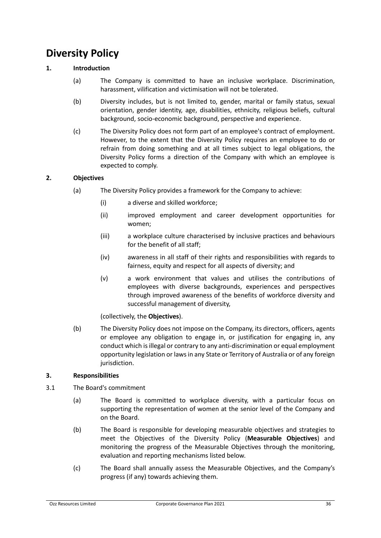# <span id="page-37-0"></span>**Diversity Policy**

# **1. Introduction**

- (a) The Company is committed to have an inclusive workplace. Discrimination, harassment, vilification and victimisation will not be tolerated.
- (b) Diversity includes, but is not limited to, gender, marital or family status, sexual orientation, gender identity, age, disabilities, ethnicity, religious beliefs, cultural background, socio-economic background, perspective and experience.
- (c) The Diversity Policy does not form part of an employee's contract of employment. However, to the extent that the Diversity Policy requires an employee to do or refrain from doing something and at all times subject to legal obligations, the Diversity Policy forms a direction of the Company with which an employee is expected to comply.

### **2. Objectives**

- (a) The Diversity Policy provides a framework for the Company to achieve:
	- (i) a diverse and skilled workforce;
	- (ii) improved employment and career development opportunities for women;
	- (iii) a workplace culture characterised by inclusive practices and behaviours for the benefit of all staff;
	- (iv) awareness in all staff of their rights and responsibilities with regards to fairness, equity and respect for all aspects of diversity; and
	- (v) a work environment that values and utilises the contributions of employees with diverse backgrounds, experiences and perspectives through improved awareness of the benefits of workforce diversity and successful management of diversity,

(collectively, the **Objectives**).

(b) The Diversity Policy does not impose on the Company, its directors, officers, agents or employee any obligation to engage in, or justification for engaging in, any conduct which is illegal or contrary to any anti-discrimination or equal employment opportunity legislation or laws in any State or Territory of Australia or of any foreign jurisdiction.

#### **3. Responsibilities**

- 3.1 The Board's commitment
	- (a) The Board is committed to workplace diversity, with a particular focus on supporting the representation of women at the senior level of the Company and on the Board.
	- (b) The Board is responsible for developing measurable objectives and strategies to meet the Objectives of the Diversity Policy (**Measurable Objectives**) and monitoring the progress of the Measurable Objectives through the monitoring, evaluation and reporting mechanisms listed below.
	- (c) The Board shall annually assess the Measurable Objectives, and the Company's progress (if any) towards achieving them.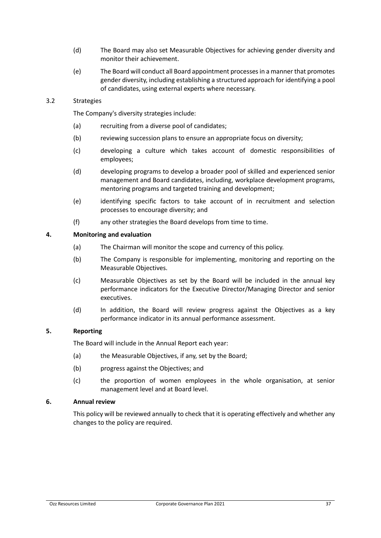- (d) The Board may also set Measurable Objectives for achieving gender diversity and monitor their achievement.
- (e) The Board will conduct all Board appointment processes in a manner that promotes gender diversity, including establishing a structured approach for identifying a pool of candidates, using external experts where necessary.

#### 3.2 Strategies

The Company's diversity strategies include:

- (a) recruiting from a diverse pool of candidates;
- (b) reviewing succession plans to ensure an appropriate focus on diversity;
- (c) developing a culture which takes account of domestic responsibilities of employees;
- (d) developing programs to develop a broader pool of skilled and experienced senior management and Board candidates, including, workplace development programs, mentoring programs and targeted training and development;
- (e) identifying specific factors to take account of in recruitment and selection processes to encourage diversity; and
- (f) any other strategies the Board develops from time to time.

### **4. Monitoring and evaluation**

- (a) The Chairman will monitor the scope and currency of this policy.
- (b) The Company is responsible for implementing, monitoring and reporting on the Measurable Objectives.
- (c) Measurable Objectives as set by the Board will be included in the annual key performance indicators for the Executive Director/Managing Director and senior executives.
- (d) In addition, the Board will review progress against the Objectives as a key performance indicator in its annual performance assessment.

#### **5. Reporting**

The Board will include in the Annual Report each year:

- (a) the Measurable Objectives, if any, set by the Board;
- (b) progress against the Objectives; and
- (c) the proportion of women employees in the whole organisation, at senior management level and at Board level.

### **6. Annual review**

This policy will be reviewed annually to check that it is operating effectively and whether any changes to the policy are required.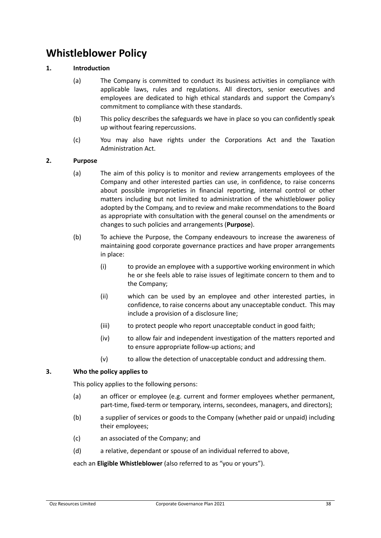# <span id="page-39-0"></span>**Whistleblower Policy**

### **1. Introduction**

- (a) The Company is committed to conduct its business activities in compliance with applicable laws, rules and regulations. All directors, senior executives and employees are dedicated to high ethical standards and support the Company's commitment to compliance with these standards.
- (b) This policy describes the safeguards we have in place so you can confidently speak up without fearing repercussions.
- (c) You may also have rights under the Corporations Act and the Taxation Administration Act.

#### **2. Purpose**

- (a) The aim of this policy is to monitor and review arrangements employees of the Company and other interested parties can use, in confidence, to raise concerns about possible improprieties in financial reporting, internal control or other matters including but not limited to administration of the whistleblower policy adopted by the Company, and to review and make recommendations to the Board as appropriate with consultation with the general counsel on the amendments or changes to such policies and arrangements (**Purpose**).
- (b) To achieve the Purpose, the Company endeavours to increase the awareness of maintaining good corporate governance practices and have proper arrangements in place:
	- (i) to provide an employee with a supportive working environment in which he or she feels able to raise issues of legitimate concern to them and to the Company;
	- (ii) which can be used by an employee and other interested parties, in confidence, to raise concerns about any unacceptable conduct. This may include a provision of a disclosure line;
	- (iii) to protect people who report unacceptable conduct in good faith;
	- (iv) to allow fair and independent investigation of the matters reported and to ensure appropriate follow-up actions; and
	- (v) to allow the detection of unacceptable conduct and addressing them.

#### **3. Who the policy applies to**

This policy applies to the following persons:

- (a) an officer or employee (e.g. current and former employees whether permanent, part-time, fixed-term or temporary, interns, secondees, managers, and directors);
- (b) a supplier of services or goods to the Company (whether paid or unpaid) including their employees;
- (c) an associated of the Company; and
- (d) a relative, dependant or spouse of an individual referred to above,

each an **Eligible Whistleblower** (also referred to as "you or yours").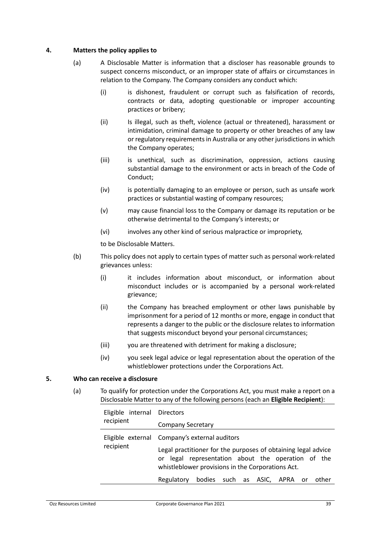#### **4. Matters the policy applies to**

- (a) A Disclosable Matter is information that a discloser has reasonable grounds to suspect concerns misconduct, or an improper state of affairs or circumstances in relation to the Company. The Company considers any conduct which:
	- (i) is dishonest, fraudulent or corrupt such as falsification of records, contracts or data, adopting questionable or improper accounting practices or bribery;
	- (ii) Is illegal, such as theft, violence (actual or threatened), harassment or intimidation, criminal damage to property or other breaches of any law or regulatory requirements in Australia or any other jurisdictions in which the Company operates;
	- (iii) is unethical, such as discrimination, oppression, actions causing substantial damage to the environment or acts in breach of the Code of Conduct;
	- (iv) is potentially damaging to an employee or person, such as unsafe work practices or substantial wasting of company resources;
	- (v) may cause financial loss to the Company or damage its reputation or be otherwise detrimental to the Company's interests; or
	- (vi) involves any other kind of serious malpractice or impropriety,

to be Disclosable Matters.

- (b) This policy does not apply to certain types of matter such as personal work-related grievances unless:
	- (i) it includes information about misconduct, or information about misconduct includes or is accompanied by a personal work-related grievance;
	- (ii) the Company has breached employment or other laws punishable by imprisonment for a period of 12 months or more, engage in conduct that represents a danger to the public or the disclosure relates to information that suggests misconduct beyond your personal circumstances;
	- (iii) you are threatened with detriment for making a disclosure;
	- (iv) you seek legal advice or legal representation about the operation of the whistleblower protections under the Corporations Act.

#### **5. Who can receive a disclosure**

(a) To qualify for protection under the Corporations Act, you must make a report on a Disclosable Matter to any of the following persons (each an **Eligible Recipient**):

| Eligible internal Directors<br>recipient |                                                                                                                                                                                                                           |
|------------------------------------------|---------------------------------------------------------------------------------------------------------------------------------------------------------------------------------------------------------------------------|
|                                          | Company Secretary                                                                                                                                                                                                         |
| recipient                                | Eligible external Company's external auditors<br>Legal practitioner for the purposes of obtaining legal advice<br>or legal representation about the operation of the<br>whistleblower provisions in the Corporations Act. |
|                                          | bodies such as ASIC, APRA or<br>Regulatory<br>other                                                                                                                                                                       |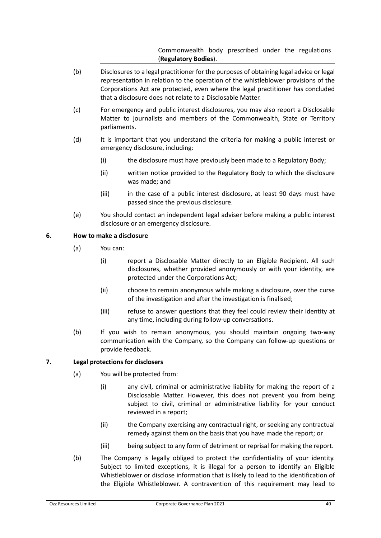Commonwealth body prescribed under the regulations (**Regulatory Bodies**).

- (b) Disclosures to a legal practitioner for the purposes of obtaining legal advice or legal representation in relation to the operation of the whistleblower provisions of the Corporations Act are protected, even where the legal practitioner has concluded that a disclosure does not relate to a Disclosable Matter.
- (c) For emergency and public interest disclosures, you may also report a Disclosable Matter to journalists and members of the Commonwealth, State or Territory parliaments.
- (d) It is important that you understand the criteria for making a public interest or emergency disclosure, including:
	- (i) the disclosure must have previously been made to a Regulatory Body;
	- (ii) written notice provided to the Regulatory Body to which the disclosure was made; and
	- (iii) in the case of a public interest disclosure, at least 90 days must have passed since the previous disclosure.
- (e) You should contact an independent legal adviser before making a public interest disclosure or an emergency disclosure.

### **6. How to make a disclosure**

- (a) You can:
	- (i) report a Disclosable Matter directly to an Eligible Recipient. All such disclosures, whether provided anonymously or with your identity, are protected under the Corporations Act;
	- (ii) choose to remain anonymous while making a disclosure, over the curse of the investigation and after the investigation is finalised;
	- (iii) refuse to answer questions that they feel could review their identity at any time, including during follow-up conversations.
- (b) If you wish to remain anonymous, you should maintain ongoing two-way communication with the Company, so the Company can follow-up questions or provide feedback.

# **7. Legal protections for disclosers**

- (a) You will be protected from:
	- (i) any civil, criminal or administrative liability for making the report of a Disclosable Matter. However, this does not prevent you from being subject to civil, criminal or administrative liability for your conduct reviewed in a report;
	- (ii) the Company exercising any contractual right, or seeking any contractual remedy against them on the basis that you have made the report; or
	- (iii) being subject to any form of detriment or reprisal for making the report.
- (b) The Company is legally obliged to protect the confidentiality of your identity. Subject to limited exceptions, it is illegal for a person to identify an Eligible Whistleblower or disclose information that is likely to lead to the identification of the Eligible Whistleblower. A contravention of this requirement may lead to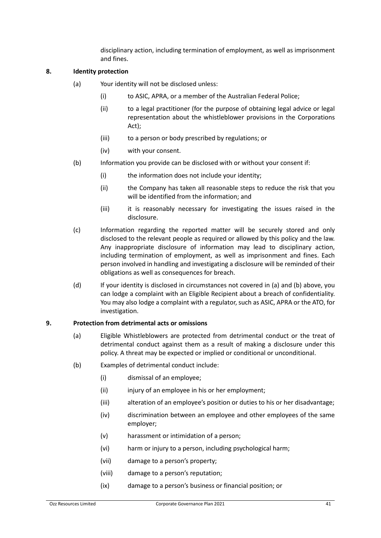disciplinary action, including termination of employment, as well as imprisonment and fines.

#### **8. Identity protection**

- (a) Your identity will not be disclosed unless:
	- (i) to ASIC, APRA, or a member of the Australian Federal Police;
	- (ii) to a legal practitioner (for the purpose of obtaining legal advice or legal representation about the whistleblower provisions in the Corporations Act);
	- (iii) to a person or body prescribed by regulations; or
	- (iv) with your consent.
- (b) Information you provide can be disclosed with or without your consent if:
	- (i) the information does not include your identity;
	- (ii) the Company has taken all reasonable steps to reduce the risk that you will be identified from the information; and
	- (iii) it is reasonably necessary for investigating the issues raised in the disclosure.
- (c) Information regarding the reported matter will be securely stored and only disclosed to the relevant people as required or allowed by this policy and the law. Any inappropriate disclosure of information may lead to disciplinary action, including termination of employment, as well as imprisonment and fines. Each person involved in handling and investigating a disclosure will be reminded of their obligations as well as consequences for breach.
- (d) If your identity is disclosed in circumstances not covered in (a) and (b) above, you can lodge a complaint with an Eligible Recipient about a breach of confidentiality. You may also lodge a complaint with a regulator, such as ASIC, APRA or the ATO, for investigation.

#### **9. Protection from detrimental acts or omissions**

- (a) Eligible Whistleblowers are protected from detrimental conduct or the treat of detrimental conduct against them as a result of making a disclosure under this policy. A threat may be expected or implied or conditional or unconditional.
- (b) Examples of detrimental conduct include:
	- (i) dismissal of an employee;
	- (ii) injury of an employee in his or her employment;
	- (iii) alteration of an employee's position or duties to his or her disadvantage;
	- (iv) discrimination between an employee and other employees of the same employer;
	- (v) harassment or intimidation of a person;
	- (vi) harm or injury to a person, including psychological harm;
	- (vii) damage to a person's property;
	- (viii) damage to a person's reputation;
	- (ix) damage to a person's business or financial position; or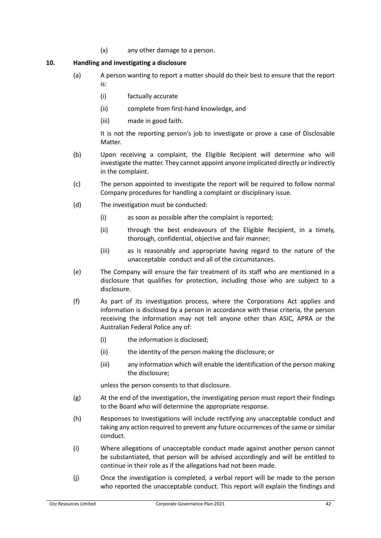(x) any other damage to a person.

#### **10. Handling and investigating a disclosure**

- (a) A person wanting to report a matter should do their best to ensure that the report is:
	- (i) factually accurate
	- (ii) complete from first-hand knowledge, and
	- (iii) made in good faith.

It is not the reporting person's job to investigate or prove a case of Disclosable Matter.

- (b) Upon receiving a complaint, the Eligible Recipient will determine who will investigate the matter. They cannot appoint anyone implicated directly or indirectly in the complaint.
- (c) The person appointed to investigate the report will be required to follow normal Company procedures for handling a complaint or disciplinary issue.
- (d) The investigation must be conducted:
	- (i) as soon as possible after the complaint is reported;
	- (ii) through the best endeavours of the Eligible Recipient, in a timely, thorough, confidential, objective and fair manner;
	- (iii) as is reasonably and appropriate having regard to the nature of the unacceptable conduct and all of the circumstances.
- (e) The Company will ensure the fair treatment of its staff who are mentioned in a disclosure that qualifies for protection, including those who are subject to a disclosure.
- (f) As part of its investigation process, where the Corporations Act applies and information is disclosed by a person in accordance with these criteria, the person receiving the information may not tell anyone other than ASIC, APRA or the Australian Federal Police any of:
	- (i) the information is disclosed;
	- (ii) the identity of the person making the disclosure; or
	- (iii) any information which will enable the identification of the person making the disclosure;

unless the person consents to that disclosure.

- (g) At the end of the investigation, the investigating person must report their findings to the Board who will determine the appropriate response.
- (h) Responses to investigations will include rectifying any unacceptable conduct and taking any action required to prevent any future occurrences of the same or similar conduct.
- (i) Where allegations of unacceptable conduct made against another person cannot be substantiated, that person will be advised accordingly and will be entitled to continue in their role as if the allegations had not been made.
- (j) Once the investigation is completed, a verbal report will be made to the person who reported the unacceptable conduct. This report will explain the findings and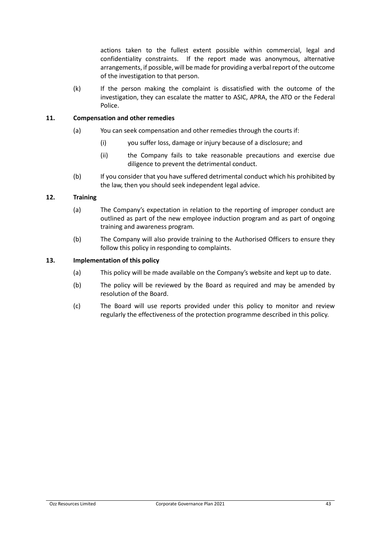actions taken to the fullest extent possible within commercial, legal and confidentiality constraints. If the report made was anonymous, alternative arrangements, if possible, will be made for providing a verbal report of the outcome of the investigation to that person.

(k) If the person making the complaint is dissatisfied with the outcome of the investigation, they can escalate the matter to ASIC, APRA, the ATO or the Federal Police.

#### **11. Compensation and other remedies**

- (a) You can seek compensation and other remedies through the courts if:
	- (i) you suffer loss, damage or injury because of a disclosure; and
	- (ii) the Company fails to take reasonable precautions and exercise due diligence to prevent the detrimental conduct.
- (b) If you consider that you have suffered detrimental conduct which his prohibited by the law, then you should seek independent legal advice.

#### **12. Training**

- (a) The Company's expectation in relation to the reporting of improper conduct are outlined as part of the new employee induction program and as part of ongoing training and awareness program.
- (b) The Company will also provide training to the Authorised Officers to ensure they follow this policy in responding to complaints.

#### **13. Implementation of this policy**

- (a) This policy will be made available on the Company's website and kept up to date.
- (b) The policy will be reviewed by the Board as required and may be amended by resolution of the Board.
- (c) The Board will use reports provided under this policy to monitor and review regularly the effectiveness of the protection programme described in this policy.